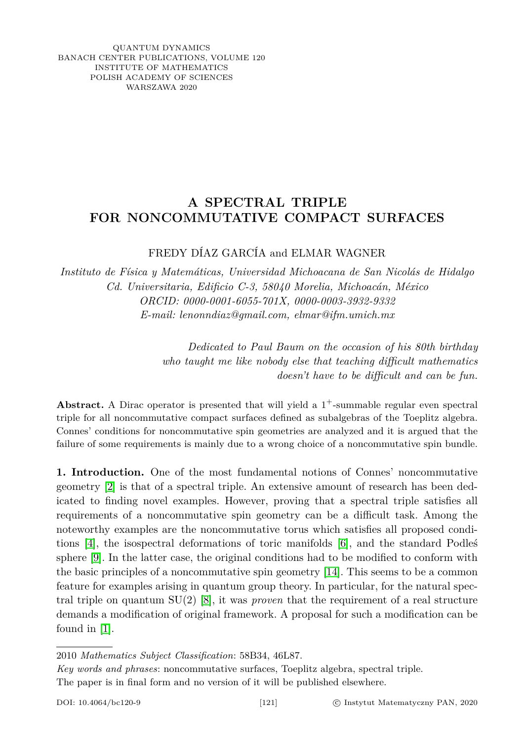QUANTUM DYNAMICS BANACH CENTER PUBLICATIONS, VOLUME 120 INSTITUTE OF MATHEMATICS POLISH ACADEMY OF SCIENCES WARSZAWA 2020

## **A SPECTRAL TRIPLE FOR NONCOMMUTATIVE COMPACT SURFACES**

FREDY DÍAZ GARCÍA and ELMAR WAGNER

*Instituto de Física y Matemáticas, Universidad Michoacana de San Nicolás de Hidalgo Cd. Universitaria, Edificio C-3, 58040 Morelia, Michoacán, México ORCID: 0000-0001-6055-701X, 0000-0003-3932-9332 E-mail: lenonndiaz@gmail.com, elmar@ifm.umich.mx*

> *Dedicated to Paul Baum on the occasion of his 80th birthday who taught me like nobody else that teaching difficult mathematics doesn't have to be difficult and can be fun.*

Abstract. A Dirac operator is presented that will yield a 1<sup>+</sup>-summable regular even spectral triple for all noncommutative compact surfaces defined as subalgebras of the Toeplitz algebra. Connes' conditions for noncommutative spin geometries are analyzed and it is argued that the failure of some requirements is mainly due to a wrong choice of a noncommutative spin bundle.

**1. Introduction.** One of the most fundamental notions of Connes' noncommutative geometry [\[2\]](#page-13-0) is that of a spectral triple. An extensive amount of research has been dedicated to finding novel examples. However, proving that a spectral triple satisfies all requirements of a noncommutative spin geometry can be a difficult task. Among the noteworthy examples are the noncommutative torus which satisfies all proposed conditions [\[4\]](#page-13-1), the isospectral deformations of toric manifolds [\[6\]](#page-13-2), and the standard Podleś sphere [\[9\]](#page-13-3). In the latter case, the original conditions had to be modified to conform with the basic principles of a noncommutative spin geometry [\[14\]](#page-13-4). This seems to be a common feature for examples arising in quantum group theory. In particular, for the natural spectral triple on quantum SU(2) [\[8\]](#page-13-5), it was *proven* that the requirement of a real structure demands a modification of original framework. A proposal for such a modification can be found in [\[1\]](#page-13-6).

*Key words and phrases*: noncommutative surfaces, Toeplitz algebra, spectral triple. The paper is in final form and no version of it will be published elsewhere.

<sup>2010</sup> *Mathematics Subject Classification*: 58B34, 46L87.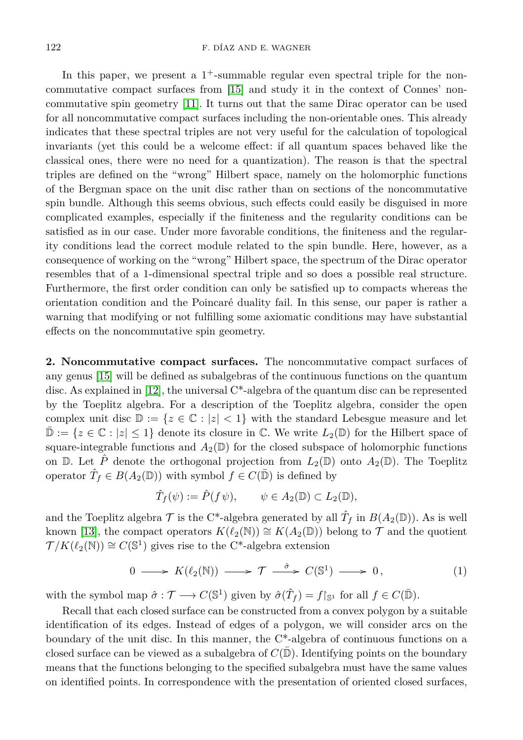In this paper, we present a  $1^+$ -summable regular even spectral triple for the noncommutative compact surfaces from [\[15\]](#page-13-7) and study it in the context of Connes' noncommutative spin geometry [\[11\]](#page-13-8). It turns out that the same Dirac operator can be used for all noncommutative compact surfaces including the non-orientable ones. This already indicates that these spectral triples are not very useful for the calculation of topological invariants (yet this could be a welcome effect: if all quantum spaces behaved like the classical ones, there were no need for a quantization). The reason is that the spectral triples are defined on the "wrong" Hilbert space, namely on the holomorphic functions of the Bergman space on the unit disc rather than on sections of the noncommutative spin bundle. Although this seems obvious, such effects could easily be disguised in more complicated examples, especially if the finiteness and the regularity conditions can be satisfied as in our case. Under more favorable conditions, the finiteness and the regularity conditions lead the correct module related to the spin bundle. Here, however, as a consequence of working on the "wrong" Hilbert space, the spectrum of the Dirac operator resembles that of a 1-dimensional spectral triple and so does a possible real structure. Furthermore, the first order condition can only be satisfied up to compacts whereas the orientation condition and the Poincaré duality fail. In this sense, our paper is rather a warning that modifying or not fulfilling some axiomatic conditions may have substantial effects on the noncommutative spin geometry.

<span id="page-1-1"></span>**2. Noncommutative compact surfaces.** The noncommutative compact surfaces of any genus [\[15\]](#page-13-7) will be defined as subalgebras of the continuous functions on the quantum disc. As explained in [\[12\]](#page-13-9), the universal C\*-algebra of the quantum disc can be represented by the Toeplitz algebra. For a description of the Toeplitz algebra, consider the open complex unit disc  $\mathbb{D} := \{z \in \mathbb{C} : |z| < 1\}$  with the standard Lebesgue measure and let  $\mathbb{D} := \{z \in \mathbb{C} : |z| \leq 1\}$  denote its closure in  $\mathbb{C}$ . We write  $L_2(\mathbb{D})$  for the Hilbert space of square-integrable functions and  $A_2(\mathbb{D})$  for the closed subspace of holomorphic functions on  $\mathbb{D}$ . Let  $\hat{P}$  denote the orthogonal projection from  $L_2(\mathbb{D})$  onto  $A_2(\mathbb{D})$ . The Toeplitz operator  $\hat{T}_f \in B(A_2(\mathbb{D}))$  with symbol  $f \in C(\bar{\mathbb{D}})$  is defined by

<span id="page-1-0"></span>
$$
\hat{T}_f(\psi) := \hat{P}(f\,\psi), \qquad \psi \in A_2(\mathbb{D}) \subset L_2(\mathbb{D}),
$$

and the Toeplitz algebra  $\mathcal T$  is the C<sup>\*</sup>-algebra generated by all  $\hat T_f$  in  $B(A_2(\mathbb D))$ . As is well known [\[13\]](#page-13-10), the compact operators  $K(\ell_2(\mathbb{N})) \cong K(A_2(\mathbb{D}))$  belong to  $\mathcal T$  and the quotient  $\mathcal{T}/K(\ell_2(\mathbb{N})) \cong C(\mathbb{S}^1)$  gives rise to the C<sup>\*</sup>-algebra extension

$$
0 \longrightarrow K(\ell_2(\mathbb{N})) \longrightarrow \mathcal{T} \stackrel{\hat{\sigma}}{\longrightarrow} C(\mathbb{S}^1) \longrightarrow 0, \tag{1}
$$

with the symbol map  $\hat{\sigma} : \mathcal{T} \longrightarrow C(\mathbb{S}^1)$  given by  $\hat{\sigma}(\hat{T}_f) = f|_{\mathbb{S}^1}$  for all  $f \in C(\bar{\mathbb{D}})$ .

Recall that each closed surface can be constructed from a convex polygon by a suitable identification of its edges. Instead of edges of a polygon, we will consider arcs on the boundary of the unit disc. In this manner, the C\*-algebra of continuous functions on a closed surface can be viewed as a subalgebra of  $C(\mathbb{D})$ . Identifying points on the boundary means that the functions belonging to the specified subalgebra must have the same values on identified points. In correspondence with the presentation of oriented closed surfaces,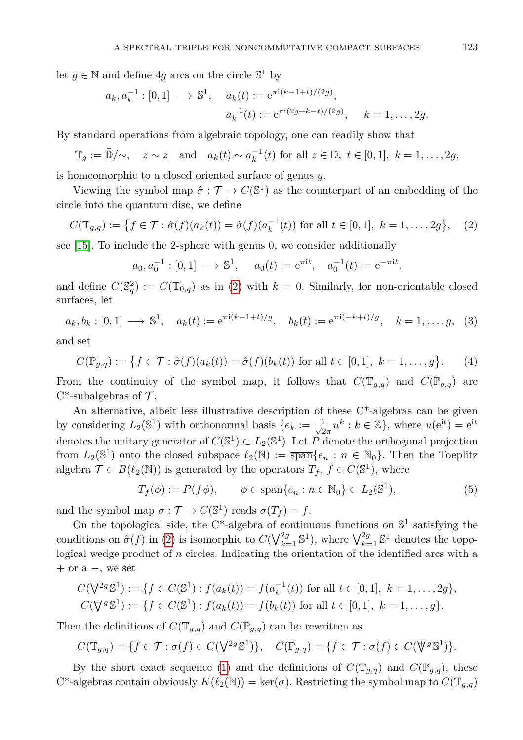let  $g \in \mathbb{N}$  and define  $4g$  arcs on the circle  $\mathbb{S}^1$  by

$$
a_k, a_k^{-1} : [0, 1] \longrightarrow \mathbb{S}^1
$$
,  $a_k(t) := e^{\pi i (k-1+t)/(2g)}$ ,  
 $a_k^{-1}(t) := e^{\pi i (2g+k-t)/(2g)}$ ,  $k = 1, ..., 2g$ .

By standard operations from algebraic topology, one can readily show that

$$
\mathbb{T}_g := \bar{\mathbb{D}}/\sim, \quad z \sim z \quad \text{and} \quad a_k(t) \sim a_k^{-1}(t) \text{ for all } z \in \mathbb{D}, \ t \in [0,1], \ k = 1, \ldots, 2g,
$$

is homeomorphic to a closed oriented surface of genus *g*.

Viewing the symbol map  $\hat{\sigma} : \mathcal{T} \to C(\mathbb{S}^1)$  as the counterpart of an embedding of the circle into the quantum disc, we define

$$
C(\mathbb{T}_{g,q}) := \left\{ f \in \mathcal{T} : \hat{\sigma}(f)(a_k(t)) = \hat{\sigma}(f)(a_k^{-1}(t)) \text{ for all } t \in [0,1], \ k = 1,\dots,2g \right\}, \tag{2}
$$

see [\[15\]](#page-13-7). To include the 2-sphere with genus 0, we consider additionally

<span id="page-2-0"></span>
$$
a_0, a_0^{-1} : [0, 1] \longrightarrow \mathbb{S}^1
$$
,  $a_0(t) := e^{\pi i t}$ ,  $a_0^{-1}(t) := e^{-\pi i t}$ .

and define  $C(\mathbb{S}_q^2) := C(\mathbb{T}_{0,q})$  as in [\(2\)](#page-2-0) with  $k = 0$ . Similarly, for non-orientable closed surfaces, let

$$
a_k, b_k : [0, 1] \longrightarrow \mathbb{S}^1
$$
,  $a_k(t) := e^{\pi i (k-1+t)/g}$ ,  $b_k(t) := e^{\pi i (-k+t)/g}$ ,  $k = 1, ..., g$ , (3)

and set

$$
C(\mathbb{P}_{g,q}) := \{ f \in \mathcal{T} : \hat{\sigma}(f)(a_k(t)) = \hat{\sigma}(f)(b_k(t)) \text{ for all } t \in [0,1], k = 1,\dots,g \}. \tag{4}
$$

From the continuity of the symbol map, it follows that  $C(T_{q,q})$  and  $C(\mathbb{P}_{q,q})$  are  $C^*$ -subalgebras of  $\mathcal T$ .

An alternative, albeit less illustrative description of these C\*-algebras can be given by considering  $L_2(\mathbb{S}^1)$  with orthonormal basis  $\{e_k:=\frac{1}{\sqrt{2}}\}$  $\frac{1}{2\pi}u^k$  :  $k \in \mathbb{Z}$ , where  $u(e^{it}) = e^{it}$ denotes the unitary generator of  $C(\mathbb{S}^1) \subset L_2(\mathbb{S}^1)$ . Let P denote the orthogonal projection from  $L_2(\mathbb{S}^1)$  onto the closed subspace  $\ell_2(\mathbb{N}) := \overline{\text{span}}\{e_n : n \in \mathbb{N}_0\}$ . Then the Toeplitz algebra  $\mathcal{T} \subset B(\ell_2(\mathbb{N}))$  is generated by the operators  $T_f$ ,  $f \in C(\mathbb{S}^1)$ , where

$$
T_f(\phi) := P(f\phi), \qquad \phi \in \overline{\text{span}}\{e_n : n \in \mathbb{N}_0\} \subset L_2(\mathbb{S}^1),\tag{5}
$$

and the symbol map  $\sigma : \mathcal{T} \to C(\mathbb{S}^1)$  reads  $\sigma(T_f) = f$ .

On the topological side, the C<sup>\*</sup>-algebra of continuous functions on  $\mathbb{S}^1$  satisfying the conditions on  $\hat{\sigma}(f)$  in [\(2\)](#page-2-0) is isomorphic to  $C(\bigvee_{k=1}^{2g} \mathbb{S}^1)$ , where  $\bigvee_{k=1}^{2g} \mathbb{S}^1$  denotes the topological wedge product of *n* circles. Indicating the orientation of the identified arcs with a + or a −, we set

$$
C(\nabla^2 g \mathbb{S}^1) := \{ f \in C(\mathbb{S}^1) : f(a_k(t)) = f(a_k^{-1}(t)) \text{ for all } t \in [0,1], k = 1,\ldots, 2g \},
$$
  

$$
C(\nabla^2 g \mathbb{S}^1) := \{ f \in C(\mathbb{S}^1) : f(a_k(t)) = f(b_k(t)) \text{ for all } t \in [0,1], k = 1,\ldots,g \}.
$$

Then the definitions of  $C(\mathbb{T}_{q,q})$  and  $C(\mathbb{P}_{q,q})$  can be rewritten as

$$
C(\mathbb{T}_{g,q}) = \{ f \in \mathcal{T} : \sigma(f) \in C(\bigvee^{\!2g} \mathbb{S}^1) \}, \quad C(\mathbb{P}_{g,q}) = \{ f \in \mathcal{T} : \sigma(f) \in C(\bigvee^{\!g} \mathbb{S}^1) \}.
$$

By the short exact sequence [\(1\)](#page-1-0) and the definitions of  $C(\mathbb{T}_{q,q})$  and  $C(\mathbb{P}_{q,q})$ , these  $C^*$ -algebras contain obviously  $K(\ell_2(N)) = \ker(\sigma)$ . Restricting the symbol map to  $C(\mathbb{T}_{q,q})$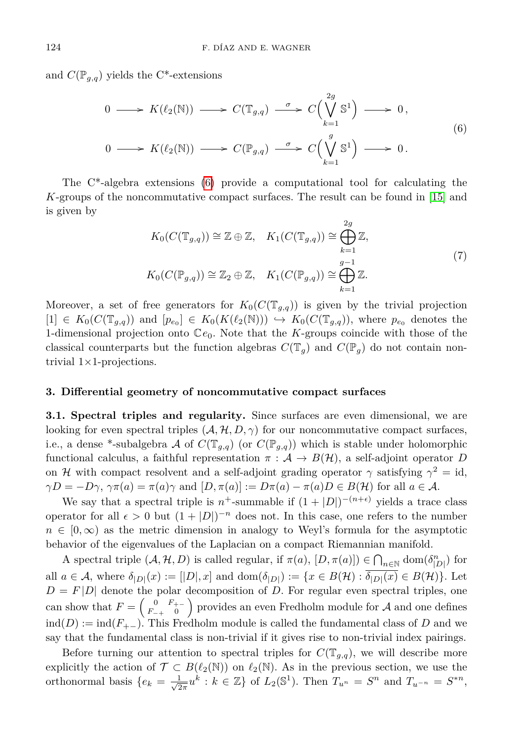and  $C(\mathbb{P}_{q,q})$  yields the C<sup>\*</sup>-extensions

<span id="page-3-0"></span>
$$
0 \longrightarrow K(\ell_2(\mathbb{N})) \longrightarrow C(\mathbb{T}_{g,q}) \stackrel{\sigma}{\longrightarrow} C\Big(\bigvee_{k=1}^{2g} \mathbb{S}^1\Big) \longrightarrow 0,
$$
  

$$
0 \longrightarrow K(\ell_2(\mathbb{N})) \longrightarrow C(\mathbb{P}_{g,q}) \stackrel{\sigma}{\longrightarrow} C\Big(\bigvee_{k=1}^{g} \mathbb{S}^1\Big) \longrightarrow 0.
$$
 (6)

The C\*-algebra extensions [\(6\)](#page-3-0) provide a computational tool for calculating the *K*-groups of the noncommutative compact surfaces. The result can be found in [\[15\]](#page-13-7) and is given by

$$
K_0(C(\mathbb{T}_{g,q})) \cong \mathbb{Z} \oplus \mathbb{Z}, \quad K_1(C(\mathbb{T}_{g,q})) \cong \bigoplus_{k=1}^{2g} \mathbb{Z},
$$
  
\n
$$
K_0(C(\mathbb{P}_{g,q})) \cong \mathbb{Z}_2 \oplus \mathbb{Z}, \quad K_1(C(\mathbb{P}_{g,q})) \cong \bigoplus_{k=1}^{g-1} \mathbb{Z}.
$$
  
\n(7)

Moreover, a set of free generators for  $K_0(C(\mathbb{T}_{q,q}))$  is given by the trivial projection  $[1] \in K_0(C(\mathbb{T}_{g,q}))$  and  $[p_{e_0}] \in K_0(K(\ell_2(\mathbb{N}))) \hookrightarrow K_0(C(\mathbb{T}_{g,q}))$ , where  $p_{e_0}$  denotes the 1-dimensional projection onto C*e*0. Note that the *K*-groups coincide with those of the classical counterparts but the function algebras  $C(\mathbb{T}_q)$  and  $C(\mathbb{P}_q)$  do not contain nontrivial  $1\times1$ -projections.

## **3. Differential geometry of noncommutative compact surfaces**

<span id="page-3-1"></span>**3.1. Spectral triples and regularity.** Since surfaces are even dimensional, we are looking for even spectral triples  $(A, \mathcal{H}, D, \gamma)$  for our noncommutative compact surfaces, i.e., a dense \*-subalgebra A of  $C(\mathbb{T}_{q,q})$  (or  $C(\mathbb{P}_{q,q})$ ) which is stable under holomorphic functional calculus, a faithful representation  $\pi : A \to B(H)$ , a self-adjoint operator *D* on H with compact resolvent and a self-adjoint grading operator  $\gamma$  satisfying  $\gamma^2 = id$ ,  $\gamma D = -D\gamma$ ,  $\gamma \pi(a) = \pi(a)\gamma$  and  $[D, \pi(a)] := D\pi(a) - \pi(a)D \in B(H)$  for all  $a \in A$ .

We say that a spectral triple is  $n^+$ -summable if  $(1+|D|)^{-(n+\epsilon)}$  yields a trace class operator for all  $\epsilon > 0$  but  $(1 + |D|)^{-n}$  does not. In this case, one refers to the number  $n \in [0,\infty)$  as the metric dimension in analogy to Weyl's formula for the asymptotic behavior of the eigenvalues of the Laplacian on a compact Riemannian manifold.

A spectral triple  $(A, \mathcal{H}, D)$  is called regular, if  $\pi(a)$ ,  $[D, \pi(a)] \in \bigcap_{n \in \mathbb{N}} \text{dom}(\delta_{|D|}^n)$  for all  $a \in \mathcal{A}$ , where  $\delta_{|D|}(x) := [|D|, x]$  and  $\text{dom}(\delta_{|D|}) := \{x \in B(\mathcal{H}) : \overline{\delta_{|D|}(x)} \in B(\mathcal{H})\}$ . Let  $D = F|D|$  denote the polar decomposition of *D*. For regular even spectral triples, one can show that  $F = \begin{pmatrix} 0 & F_{+-} \\ F & 0 \end{pmatrix}$  $\begin{pmatrix} 0 & F_{+-} \\ F_{-+} & 0 \end{pmatrix}$  provides an even Fredholm module for A and one defines  $\text{ind}(D) := \text{ind}(F_{+-})$ . This Fredholm module is called the fundamental class of *D* and we say that the fundamental class is non-trivial if it gives rise to non-trivial index pairings.

Before turning our attention to spectral triples for  $C(T_{q,q})$ , we will describe more explicitly the action of  $\mathcal{T} \subset B(\ell_2(\mathbb{N}))$  on  $\ell_2(\mathbb{N})$ . As in the previous section, we use the orthonormal basis  $\{e_k = \frac{1}{\sqrt{2}}\}$  $\frac{1}{2\pi}u^k$  :  $k \in \mathbb{Z}$  of  $L_2(\mathbb{S}^1)$ . Then  $T_{u^n} = S^n$  and  $T_{u^{-n}} = S^{*n}$ ,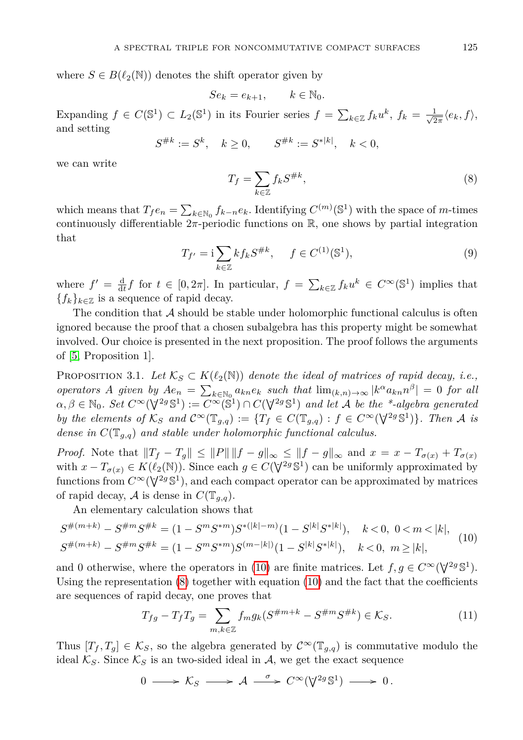where  $S \in B(\ell_2(N))$  denotes the shift operator given by

$$
Se_k = e_{k+1}, \qquad k \in \mathbb{N}_0.
$$

Expanding  $f \in C(\mathbb{S}^1) \subset L_2(\mathbb{S}^1)$  in its Fourier series  $f = \sum_{k \in \mathbb{Z}} f_k u^k$ ,  $f_k = \frac{1}{\sqrt{2\pi}}$  $\frac{1}{2\pi}\langle e_k, f \rangle$ , and setting

<span id="page-4-1"></span>
$$
S^{\#k} := S^k, \quad k \ge 0, \qquad S^{\#k} := S^{*|k|}, \quad k < 0,
$$

we can write

$$
T_f = \sum_{k \in \mathbb{Z}} f_k S^{\#k},\tag{8}
$$

<span id="page-4-3"></span>which means that  $T_f e_n = \sum_{k \in \mathbb{N}_0} f_{k-n} e_k$ . Identifying  $C^{(m)}(\mathbb{S}^1)$  with the space of *m*-times continuously differentiable  $2\pi$ -periodic functions on  $\mathbb{R}$ , one shows by partial integration that

$$
T_{f'} = i \sum_{k \in \mathbb{Z}} k f_k S^{\# k}, \quad f \in C^{(1)}(\mathbb{S}^1),
$$
 (9)

where  $f' = \frac{d}{dt} f$  for  $t \in [0, 2\pi]$ . In particular,  $f = \sum_{k \in \mathbb{Z}} f_k u^k \in C^\infty(\mathbb{S}^1)$  implies that  ${f_k}_{k \in \mathbb{Z}}$  is a sequence of rapid decay.

The condition that  $\mathcal A$  should be stable under holomorphic functional calculus is often ignored because the proof that a chosen subalgebra has this property might be somewhat involved. Our choice is presented in the next proposition. The proof follows the arguments of [\[5,](#page-13-11) Proposition 1].

<span id="page-4-2"></span>PROPOSITION 3.1. Let  $\mathcal{K}_S \subset K(\ell_2(\mathbb{N}))$  denote the ideal of matrices of rapid decay, i.e., *operators A given by*  $Ae_n = \sum_{k \in \mathbb{N}_0} a_{kn}e_k$  *such that*  $\lim_{(k,n) \to \infty} |k^{\alpha} a_{kn} n^{\beta}| = 0$  *for all*  $\alpha, \beta \in \mathbb{N}_0$ . Set  $C^{\infty}(\nabla^{2g} \mathbb{S}^1) := C^{\infty}(\mathbb{S}^1) \cap C(\nabla^{2g} \mathbb{S}^1)$  and let A be the \*-algebra generated *by the elements of*  $K_S$  *and*  $C^{\infty}(\mathbb{T}_{g,q}) := \{T_f \in C(\mathbb{T}_{g,q}) : f \in C^{\infty}(\nabla^{2g} \mathbb{S}^1)\}\$ *. Then* A *is dense in C*(T*g,q*) *and stable under holomorphic functional calculus.*

*Proof.* Note that  $||T_f - T_g|| \le ||P|| ||f - g||_{\infty} \le ||f - g||_{\infty}$  and  $x = x - T_{\sigma(x)} + T_{\sigma(x)}$ with  $x - T_{\sigma(x)} \in K(\ell_2(\mathbb{N}))$ . Since each  $g \in C(\nabla^{2g} \mathbb{S}^1)$  can be uniformly approximated by functions from  $C^{\infty}(\nabla^{2g} \mathbb{S}^1)$ , and each compact operator can be approximated by matrices of rapid decay, A is dense in  $C(\mathbb{T}_{q,q})$ .

An elementary calculation shows that

$$
S^{\#(m+k)} - S^{\#m} S^{\#k} = (1 - S^m S^{*m}) S^{*(|k|-m)} (1 - S^{|k|} S^{*|k|}), \quad k < 0, \ 0 < m < |k|,
$$
  

$$
S^{\#(m+k)} - S^{\#m} S^{\#k} = (1 - S^m S^{*m}) S^{(m-|k|)} (1 - S^{|k|} S^{*|k|}), \quad k < 0, \ m \ge |k|,
$$
 (10)

and 0 otherwise, where the operators in [\(10\)](#page-4-0) are finite matrices. Let  $f, g \in C^{\infty}(\nabla^{2g} \mathbb{S}^1)$ . Using the representation [\(8\)](#page-4-1) together with equation [\(10\)](#page-4-0) and the fact that the coefficients are sequences of rapid decay, one proves that

<span id="page-4-4"></span><span id="page-4-0"></span>
$$
T_{fg} - T_f T_g = \sum_{m,k \in \mathbb{Z}} f_m g_k (S^{\#m+k} - S^{\#m} S^{\#k}) \in \mathcal{K}_S.
$$
 (11)

Thus  $[T_f, T_g] \in \mathcal{K}_S$ , so the algebra generated by  $\mathcal{C}^{\infty}(\mathbb{T}_{g,q})$  is commutative modulo the ideal  $\mathcal{K}_S$ . Since  $\mathcal{K}_S$  is an two-sided ideal in A, we get the exact sequence

$$
0 \longrightarrow \mathcal{K}_S \longrightarrow \mathcal{A} \stackrel{\sigma}{\longrightarrow} C^{\infty}(\mathbf{V}^{2g}\mathbb{S}^1) \longrightarrow 0.
$$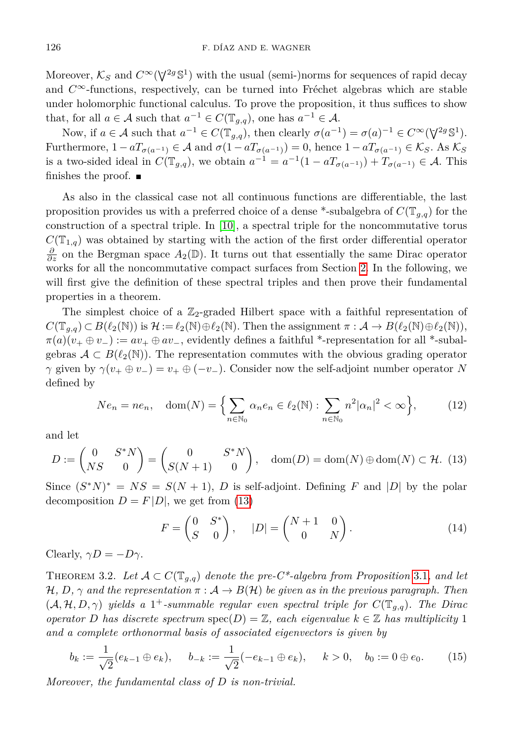Moreover,  $\mathcal{K}_S$  and  $C^{\infty}(\nabla^{2g} \mathbb{S}^1)$  with the usual (semi-)norms for sequences of rapid decay and *C*∞-functions, respectively, can be turned into Fréchet algebras which are stable under holomorphic functional calculus. To prove the proposition, it thus suffices to show that, for all  $a \in \mathcal{A}$  such that  $a^{-1} \in C(\mathbb{T}_{g,q})$ , one has  $a^{-1} \in \mathcal{A}$ .

Now, if  $a \in \mathcal{A}$  such that  $a^{-1} \in C(\mathbb{T}_{g,q})$ , then clearly  $\sigma(a^{-1}) = \sigma(a)^{-1} \in C^\infty(\nabla^{2g} \mathbb{S}^1)$ . Furthermore,  $1 - aT_{\sigma(a^{-1})} \in \mathcal{A}$  and  $\sigma(1 - aT_{\sigma(a^{-1})}) = 0$ , hence  $1 - aT_{\sigma(a^{-1})} \in \mathcal{K}_S$ . As  $\mathcal{K}_S$ is a two-sided ideal in  $C(\mathbb{T}_{g,q})$ , we obtain  $a^{-1} = a^{-1}(1 - aT_{\sigma(a^{-1})}) + T_{\sigma(a^{-1})} \in \mathcal{A}$ . This finishes the proof.  $\blacksquare$ 

As also in the classical case not all continuous functions are differentiable, the last proposition provides us with a preferred choice of a dense \*-subalgebra of  $C(T_{q,q})$  for the construction of a spectral triple. In [\[10\]](#page-13-12), a spectral triple for the noncommutative torus  $C(\mathbb{T}_{1,q})$  was obtained by starting with the action of the first order differential operator  $\frac{\partial}{\partial z}$  on the Bergman space  $A_2(\mathbb{D})$ . It turns out that essentially the same Dirac operator works for all the noncommutative compact surfaces from Section [2.](#page-1-1) In the following, we will first give the definition of these spectral triples and then prove their fundamental properties in a theorem.

The simplest choice of a  $\mathbb{Z}_2$ -graded Hilbert space with a faithful representation of  $C(\mathbb{T}_{q,q}) \subset B(\ell_2(\mathbb{N}))$  is  $\mathcal{H} := \ell_2(\mathbb{N}) \oplus \ell_2(\mathbb{N})$ . Then the assignment  $\pi : \mathcal{A} \to B(\ell_2(\mathbb{N}) \oplus \ell_2(\mathbb{N})),$  $\pi(a)(v_+ \oplus v_-) := av_+ \oplus av_-,$  evidently defines a faithful \*-representation for all \*-subalgebras  $A \subset B(\ell_2(N))$ . The representation commutes with the obvious grading operator *γ* given by  $\gamma(v_+ \oplus v_-) = v_+ \oplus (-v_-)$ . Consider now the self-adjoint number operator *N* defined by

<span id="page-5-0"></span>
$$
Ne_n = ne_n, \quad \text{dom}(N) = \left\{ \sum_{n \in \mathbb{N}_0} \alpha_n e_n \in \ell_2(\mathbb{N}) : \sum_{n \in \mathbb{N}_0} n^2 |\alpha_n|^2 < \infty \right\},\tag{12}
$$

and let

$$
D := \begin{pmatrix} 0 & S^*N \\ NS & 0 \end{pmatrix} = \begin{pmatrix} 0 & S^*N \\ S(N+1) & 0 \end{pmatrix}, \quad \text{dom}(D) = \text{dom}(N) \oplus \text{dom}(N) \subset \mathcal{H}. \tag{13}
$$

Since  $(S*N)^* = NS = S(N+1)$ , *D* is self-adjoint. Defining *F* and |*D*| by the polar decomposition  $D = F|D|$ , we get from [\(13\)](#page-5-0)

<span id="page-5-2"></span><span id="page-5-1"></span>
$$
F = \begin{pmatrix} 0 & S^* \\ S & 0 \end{pmatrix}, \quad |D| = \begin{pmatrix} N+1 & 0 \\ 0 & N \end{pmatrix}.\tag{14}
$$

<span id="page-5-3"></span>Clearly,  $\gamma D = -D\gamma$ .

THEOREM 3.2. Let  $\mathcal{A} \subset C(\mathbb{T}_{q,q})$  denote the pre-C<sup>\*</sup>-algebra from Proposition [3.1](#page-4-2), and let  $H, D, \gamma$  and the representation  $\pi : A \rightarrow B(H)$  be given as in the previous paragraph. Then  $(A, H, D, \gamma)$  *yields a* 1<sup>+</sup>-summable regular even spectral triple for  $C(\mathbb{T}_{q,q})$ . The Diraccurrent *operator D has discrete spectrum* spec $(D) = \mathbb{Z}$ *, each eigenvalue*  $k \in \mathbb{Z}$  *has multiplicity* 1 *and a complete orthonormal basis of associated eigenvectors is given by*

$$
b_k := \frac{1}{\sqrt{2}}(e_{k-1} \oplus e_k), \quad b_{-k} := \frac{1}{\sqrt{2}}(-e_{k-1} \oplus e_k), \quad k > 0, \quad b_0 := 0 \oplus e_0.
$$
 (15)

*Moreover, the fundamental class of D is non-trivial.*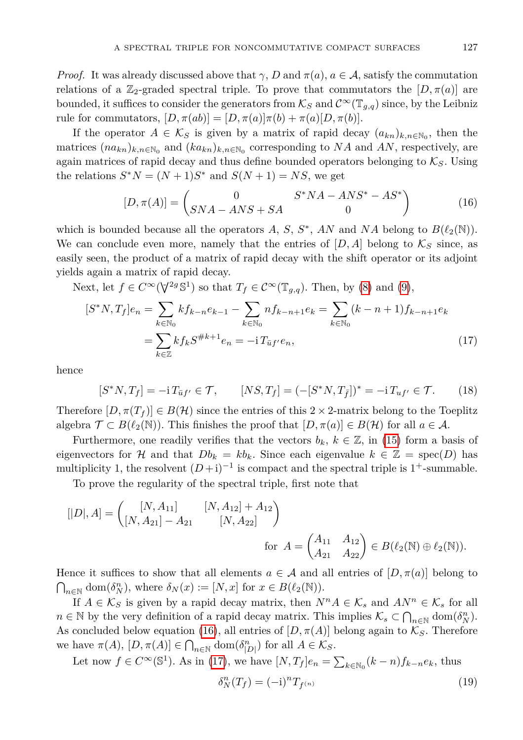*Proof.* It was already discussed above that  $\gamma$ , *D* and  $\pi(a)$ ,  $a \in \mathcal{A}$ , satisfy the commutation relations of a  $\mathbb{Z}_2$ -graded spectral triple. To prove that commutators the  $[D, \pi(a)]$  are bounded, it suffices to consider the generators from  $\mathcal{K}_S$  and  $\mathcal{C}^{\infty}(\mathbb{T}_{q,q})$  since, by the Leibniz rule for commutators,  $[D, \pi(ab)] = [D, \pi(a)]\pi(b) + \pi(a)[D, \pi(b)].$ 

If the operator  $A \in \mathcal{K}_S$  is given by a matrix of rapid decay  $(a_{kn})_{k,n \in \mathbb{N}_0}$ , then the matrices  $(n a_{kn})_{k,n \in \mathbb{N}_0}$  and  $(k a_{kn})_{k,n \in \mathbb{N}_0}$  corresponding to *NA* and *AN*, respectively, are again matrices of rapid decay and thus define bounded operators belonging to  $K_S$ . Using the relations  $S^*N = (N+1)S^*$  and  $S(N+1) = NS$ , we get

<span id="page-6-1"></span><span id="page-6-0"></span>
$$
[D, \pi(A)] = \begin{pmatrix} 0 & S^*NA - ANS^* - AS^* \\ SNA - ANS + SA & 0 \end{pmatrix}
$$
 (16)

which is bounded because all the operators  $A, S, S^*$ ,  $AN$  and  $NA$  belong to  $B(\ell_2(\mathbb{N}))$ . We can conclude even more, namely that the entries of  $[D, A]$  belong to  $\mathcal{K}_S$  since, as easily seen, the product of a matrix of rapid decay with the shift operator or its adjoint yields again a matrix of rapid decay.

Next, let  $f \in C^{\infty}(\nabla^{2g} \mathbb{S}^1)$  so that  $T_f \in C^{\infty}(\mathbb{T}_{g,q})$ . Then, by [\(8\)](#page-4-1) and [\(9\)](#page-4-3),

$$
[S^*N, T_f]e_n = \sum_{k \in \mathbb{N}_0} kf_{k-n}e_{k-1} - \sum_{k \in \mathbb{N}_0} nf_{k-n+1}e_k = \sum_{k \in \mathbb{N}_0} (k-n+1)f_{k-n+1}e_k
$$
  
= 
$$
\sum_{k \in \mathbb{Z}} kf_k S^{\#k+1}e_n = -i T_{\bar{u}f'}e_n,
$$
 (17)

hence

<span id="page-6-2"></span>
$$
[S^*N, T_f] = -i T_{\bar{u}f'} \in \mathcal{T}, \qquad [NS, T_f] = (-[S^*N, T_{\bar{f}}])^* = -i T_{uf'} \in \mathcal{T}.
$$
 (18)

Therefore  $[D, \pi(T_f)] \in B(H)$  since the entries of this  $2 \times 2$ -matrix belong to the Toeplitz algebra  $\mathcal{T} \subset B(\ell_2(\mathbb{N}))$ . This finishes the proof that  $[D,\pi(a)] \in B(\mathcal{H})$  for all  $a \in \mathcal{A}$ .

Furthermore, one readily verifies that the vectors  $b_k$ ,  $k \in \mathbb{Z}$ , in [\(15\)](#page-5-1) form a basis of eigenvectors for H and that  $Db_k = kb_k$ . Since each eigenvalue  $k \in \mathbb{Z} = \text{spec}(D)$  has multiplicity 1, the resolvent  $(D+i)^{-1}$  is compact and the spectral triple is 1<sup>+</sup>-summable.

To prove the regularity of the spectral triple, first note that

$$
[[D], A] = \begin{pmatrix} [N, A_{11}] & [N, A_{12}] + A_{12} \\ [N, A_{21}] - A_{21} & [N, A_{22}] \end{pmatrix}
$$
  
for  $A = \begin{pmatrix} A_{11} & A_{12} \\ A_{21} & A_{22} \end{pmatrix} \in B(\ell_2(\mathbb{N}) \oplus \ell_2(\mathbb{N})).$ 

Hence it suffices to show that all elements  $a \in \mathcal{A}$  and all entries of  $[D,\pi(a)]$  belong to  $\bigcap_{n\in\mathbb{N}}\text{dom}(\delta_N^n)$ , where  $\delta_N(x) := [N, x]$  for  $x \in B(\ell_2(\mathbb{N}))$ .

If  $A \in \mathcal{K}_S$  is given by a rapid decay matrix, then  $N^n A \in \mathcal{K}_s$  and  $AN^n \in \mathcal{K}_s$  for all  $n \in \mathbb{N}$  by the very definition of a rapid decay matrix. This implies  $\mathcal{K}_s \subset \bigcap_{n \in \mathbb{N}} \text{dom}(\delta_N^n)$ . As concluded below equation [\(16\)](#page-6-0), all entries of  $[D, \pi(A)]$  belong again to  $\mathcal{K}_{\mathcal{S}}$ . Therefore we have  $\pi(A)$ ,  $[D, \pi(A)] \in \bigcap_{n \in \mathbb{N}} \text{dom}(\delta_{|D|}^n)$  for all  $A \in \mathcal{K}_S$ .

<span id="page-6-3"></span>Let now 
$$
f \in C^{\infty}(\mathbb{S}^1)
$$
. As in (17), we have  $[N, T_f]e_n = \sum_{k \in \mathbb{N}_0} (k - n)f_{k - n}e_k$ , thus  

$$
\delta_N^n(T_f) = (-i)^n T_{f^{(n)}}
$$
(19)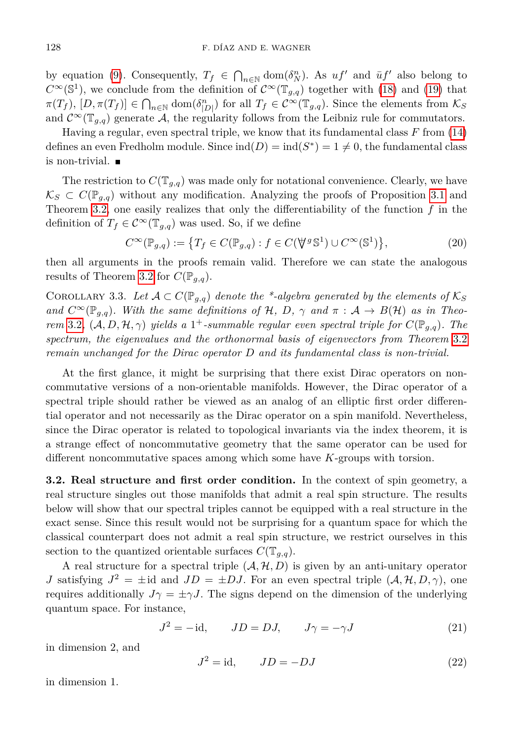by equation [\(9\)](#page-4-3). Consequently,  $T_f \in \bigcap_{n \in \mathbb{N}} \text{dom}(\delta_N^n)$ . As  $uf'$  and  $\bar{u}f'$  also belong to  $C^{\infty}(\mathbb{S}^1)$ , we conclude from the definition of  $C^{\infty}(\mathbb{T}_{g,q})$  together with [\(18\)](#page-6-2) and [\(19\)](#page-6-3) that  $\pi(T_f)$ ,  $[D, \pi(T_f)] \in \bigcap_{n \in \mathbb{N}} \text{dom}(\delta_{|D|}^n)$  for all  $T_f \in C^\infty(\mathbb{T}_{g,q})$ . Since the elements from  $\mathcal{K}_S$ and  $\mathcal{C}^{\infty}(\mathbb{T}_{q,q})$  generate A, the regularity follows from the Leibniz rule for commutators.

Having a regular, even spectral triple, we know that its fundamental class *F* from [\(14\)](#page-5-2) defines an even Fredholm module. Since  $\text{ind}(D) = \text{ind}(S^*) = 1 \neq 0$ , the fundamental class is non-trivial.

The restriction to  $C(\mathbb{T}_{q,q})$  was made only for notational convenience. Clearly, we have  $\mathcal{K}_S$  ⊂  $C(\mathbb{P}_{q,q})$  without any modification. Analyzing the proofs of Proposition [3.1](#page-4-2) and Theorem [3.2,](#page-5-3) one easily realizes that only the differentiability of the function *f* in the definition of  $T_f \in C^{\infty}(\mathbb{T}_{q,q})$  was used. So, if we define

$$
C^{\infty}(\mathbb{P}_{g,q}) := \{ T_f \in C(\mathbb{P}_{g,q}) : f \in C(\mathbb{V}^g \mathbb{S}^1) \cup C^{\infty}(\mathbb{S}^1) \},
$$
\n(20)

then all arguments in the proofs remain valid. Therefore we can state the analogous results of Theorem [3.2](#page-5-3) for  $C(\mathbb{P}_{q,q})$ .

COROLLARY 3.3. Let  $\mathcal{A} \subset C(\mathbb{P}_{g,q})$  denote the \*-algebra generated by the elements of  $\mathcal{K}_S$ *and*  $C^{\infty}(\mathbb{P}_{q,q})$ *. With the same definitions of* H, D,  $\gamma$  *and*  $\pi : A \rightarrow B(H)$  *as in Theorem* [3.2](#page-5-3),  $(A, D, H, \gamma)$  *yields a* 1<sup>+</sup>-summable regular even spectral triple for  $C(\mathbb{P}_{g,q})$ . The *spectrum, the eigenvalues and the orthonormal basis of eigenvectors from Theorem* [3.2](#page-5-3) *remain unchanged for the Dirac operator D and its fundamental class is non-trivial.*

At the first glance, it might be surprising that there exist Dirac operators on noncommutative versions of a non-orientable manifolds. However, the Dirac operator of a spectral triple should rather be viewed as an analog of an elliptic first order differential operator and not necessarily as the Dirac operator on a spin manifold. Nevertheless, since the Dirac operator is related to topological invariants via the index theorem, it is a strange effect of noncommutative geometry that the same operator can be used for different noncommutative spaces among which some have *K*-groups with torsion.

<span id="page-7-2"></span>**3.2. Real structure and first order condition.** In the context of spin geometry, a real structure singles out those manifolds that admit a real spin structure. The results below will show that our spectral triples cannot be equipped with a real structure in the exact sense. Since this result would not be surprising for a quantum space for which the classical counterpart does not admit a real spin structure, we restrict ourselves in this section to the quantized orientable surfaces  $C(\mathbb{T}_{g,q})$ .

A real structure for a spectral triple  $(A, \mathcal{H}, D)$  is given by an anti-unitary operator *J* satisfying  $J^2 = \pm id$  and  $JD = \pm DJ$ . For an even spectral triple  $(A, H, D, \gamma)$ , one requires additionally  $J\gamma = \pm \gamma J$ . The signs depend on the dimension of the underlying quantum space. For instance,

<span id="page-7-1"></span><span id="page-7-0"></span>
$$
J^2 = -id, \qquad JD = DJ, \qquad J\gamma = -\gamma J \tag{21}
$$

in dimension 2, and

$$
J^2 = \text{id}, \qquad JD = -DJ \tag{22}
$$

in dimension 1.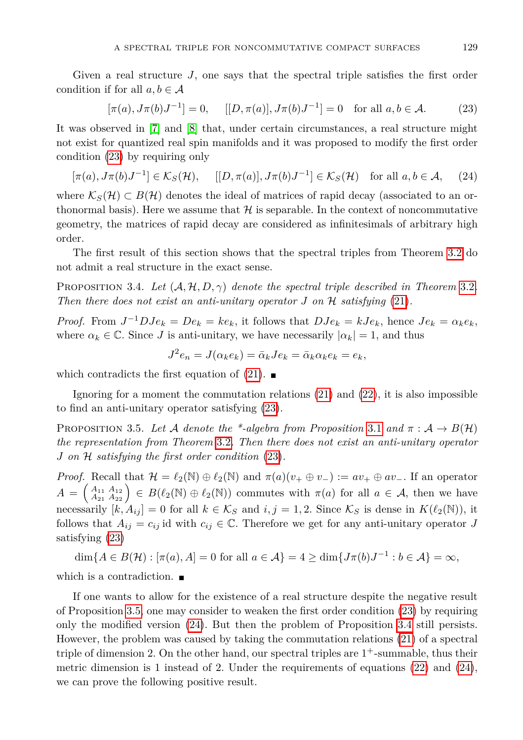Given a real structure *J*, one says that the spectral triple satisfies the first order condition if for all  $a, b \in \mathcal{A}$ 

<span id="page-8-2"></span><span id="page-8-0"></span>
$$
[\pi(a), J\pi(b)J^{-1}] = 0, \quad [[D, \pi(a)], J\pi(b)J^{-1}] = 0 \quad \text{for all } a, b \in \mathcal{A}.
$$
 (23)

It was observed in [\[7\]](#page-13-13) and [\[8\]](#page-13-5) that, under certain circumstances, a real structure might not exist for quantized real spin manifolds and it was proposed to modify the first order condition [\(23\)](#page-8-0) by requiring only

$$
[\pi(a), J\pi(b)J^{-1}] \in \mathcal{K}_S(\mathcal{H}), \quad [[D, \pi(a)], J\pi(b)J^{-1}] \in \mathcal{K}_S(\mathcal{H}) \quad \text{for all } a, b \in \mathcal{A}, \quad (24)
$$

where  $\mathcal{K}_S(\mathcal{H}) \subset B(\mathcal{H})$  denotes the ideal of matrices of rapid decay (associated to an orthonormal basis). Here we assume that  $\mathcal H$  is separable. In the context of noncommutative geometry, the matrices of rapid decay are considered as infinitesimals of arbitrary high order.

The first result of this section shows that the spectral triples from Theorem [3.2](#page-5-3) do not admit a real structure in the exact sense.

<span id="page-8-3"></span>PROPOSITION 3.4. Let  $(A, \mathcal{H}, D, \gamma)$  denote the spectral triple described in Theorem [3.2](#page-5-3). *Then there does not exist an anti-unitary operator*  $J$  *on*  $H$  *satisfying* [\(21\)](#page-7-0)*.* 

*Proof.* From  $J^{-1}DJe_k = De_k = ke_k$ , it follows that  $DJe_k = kJe_k$ , hence  $Je_k = \alpha_k e_k$ , where  $\alpha_k \in \mathbb{C}$ . Since *J* is anti-unitary, we have necessarily  $|\alpha_k| = 1$ , and thus

$$
J^2 e_n = J(\alpha_k e_k) = \bar{\alpha}_k J e_k = \bar{\alpha}_k \alpha_k e_k = e_k,
$$

which contradicts the first equation of [\(21\)](#page-7-0).  $\blacksquare$ 

Ignoring for a moment the commutation relations [\(21\)](#page-7-0) and [\(22\)](#page-7-1), it is also impossible to find an anti-unitary operator satisfying [\(23\)](#page-8-0).

<span id="page-8-1"></span>PROPOSITION 3.5. Let A denote the \*-algebra from Proposition [3.1](#page-4-2) and  $\pi : A \rightarrow B(H)$ *the representation from Theorem* [3.2](#page-5-3)*. Then there does not exist an anti-unitary operator J on* H *satisfying the first order condition* [\(23\)](#page-8-0)*.*

*Proof.* Recall that  $\mathcal{H} = \ell_2(\mathbb{N}) \oplus \ell_2(\mathbb{N})$  and  $\pi(a)(v_+ \oplus v_-) := av_+ \oplus av_-$ . If an operator  $A = \begin{pmatrix} A_{11} & A_{12} \\ A_{21} & A_{22} \end{pmatrix} \in B(\ell_2(\mathbb{N}) \oplus \ell_2(\mathbb{N}))$  commutes with  $\pi(a)$  for all  $a \in \mathcal{A}$ , then we have necessarily  $[k, A_{ij}] = 0$  for all  $k \in \mathcal{K}_S$  and  $i, j = 1, 2$ . Since  $\mathcal{K}_S$  is dense in  $K(\ell_2(\mathbb{N}))$ , it follows that  $A_{ij} = c_{ij}$  id with  $c_{ij} \in \mathbb{C}$ . Therefore we get for any anti-unitary operator *J* satisfying [\(23\)](#page-8-0)

dim{ $A \in B(\mathcal{H}) : [\pi(a), A] = 0$  for all  $a \in \mathcal{A}$ } = 4 ≥ dim{ $J\pi(b)J^{-1} : b \in \mathcal{A}$ } = ∞*,* 

which is a contradiction.

<span id="page-8-4"></span>If one wants to allow for the existence of a real structure despite the negative result of Proposition [3.5,](#page-8-1) one may consider to weaken the first order condition [\(23\)](#page-8-0) by requiring only the modified version [\(24\)](#page-8-2). But then the problem of Proposition [3.4](#page-8-3) still persists. However, the problem was caused by taking the commutation relations [\(21\)](#page-7-0) of a spectral triple of dimension 2. On the other hand, our spectral triples are  $1^+$ -summable, thus their metric dimension is 1 instead of 2. Under the requirements of equations [\(22\)](#page-7-1) and [\(24\)](#page-8-2), we can prove the following positive result.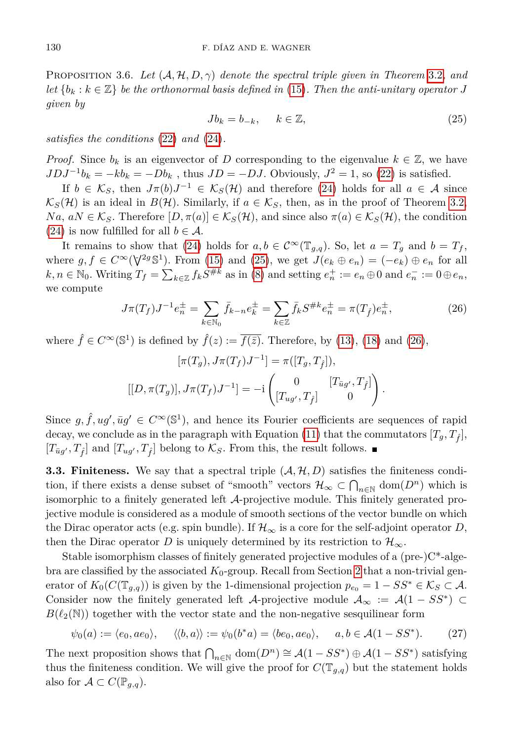<span id="page-9-0"></span>Proposition 3.6. *Let* (A*,* H*, D, γ*) *denote the spectral triple given in Theorem* [3.2](#page-5-3)*, and let*  ${b_k : k \in \mathbb{Z}}$  *be the orthonormal basis defined in* [\(15\)](#page-5-1)*. Then the anti-unitary operator J given by*

$$
Jb_k = b_{-k}, \qquad k \in \mathbb{Z}, \tag{25}
$$

*satisfies the conditions* [\(22\)](#page-7-1) *and* [\(24\)](#page-8-2)*.*

*Proof.* Since  $b_k$  is an eigenvector of *D* corresponding to the eigenvalue  $k \in \mathbb{Z}$ , we have  $JDJ^{-1}b_k = -kb_k = -Db_k$ , thus  $JD = -DJ$ . Obviously,  $J^2 = 1$ , so [\(22\)](#page-7-1) is satisfied.

If  $b \in \mathcal{K}_S$ , then  $J\pi(b)J^{-1} \in \mathcal{K}_S(\mathcal{H})$  and therefore [\(24\)](#page-8-2) holds for all  $a \in \mathcal{A}$  since  $\mathcal{K}_S(\mathcal{H})$  is an ideal in  $B(\mathcal{H})$ . Similarly, if  $a \in \mathcal{K}_S$ , then, as in the proof of Theorem [3.2,](#page-5-3)  $Na, aN \in \mathcal{K}_S$ . Therefore  $[D, \pi(a)] \in \mathcal{K}_S(\mathcal{H})$ , and since also  $\pi(a) \in \mathcal{K}_S(\mathcal{H})$ , the condition [\(24\)](#page-8-2) is now fulfilled for all  $b \in \mathcal{A}$ .

It remains to show that [\(24\)](#page-8-2) holds for  $a, b \in C^{\infty}(\mathbb{T}_{q,q})$ . So, let  $a = T_q$  and  $b = T_f$ , where  $g, f \in C^{\infty}(\mathbb{V}^{2g} \mathbb{S}^1)$ . From [\(15\)](#page-5-1) and [\(25\)](#page-9-0), we get  $J(e_k \oplus e_n) = (-e_k) \oplus e_n$  for all  $k, n \in \mathbb{N}_0$ . Writing  $T_f = \sum_{k \in \mathbb{Z}} f_k S^{\# k}$  as in [\(8\)](#page-4-1) and setting  $e_n^+ := e_n \oplus 0$  and  $e_n^- := 0 \oplus e_n$ , we compute

<span id="page-9-1"></span>
$$
J\pi(T_f)J^{-1}e_n^{\pm} = \sum_{k \in \mathbb{N}_0} \bar{f}_{k-n}e_k^{\pm} = \sum_{k \in \mathbb{Z}} \bar{f}_k S^{\#k}e_n^{\pm} = \pi(T_{\hat{f}})e_n^{\pm},\tag{26}
$$

where  $\hat{f} \in C^{\infty}(\mathbb{S}^1)$  is defined by  $\hat{f}(z) := \overline{f(\bar{z})}$ . Therefore, by [\(13\)](#page-5-0), [\(18\)](#page-6-2) and [\(26\)](#page-9-1),

$$
[\pi(T_g), J\pi(T_f)J^{-1}] = \pi([T_g, T_{\hat{f}}]),
$$
  
 
$$
[[D, \pi(T_g)], J\pi(T_f)J^{-1}] = -i \begin{pmatrix} 0 & [T_{\bar{u}g'}, T_{\hat{f}}] \\ [T_{ug'}, T_{\hat{f}}] & 0 \end{pmatrix}.
$$

Since  $g, \hat{f}, ug', \bar{u}g' \in C^{\infty}(\mathbb{S}^1)$ , and hence its Fourier coefficients are sequences of rapid decay, we conclude as in the paragraph with Equation [\(11\)](#page-4-4) that the commutators  $[T_q, T_{\hat{f}}]$ ,  $[T_{\bar{u}g'}, T_{\hat{f}}]$  and  $[T_{ug'}, T_{\hat{f}}]$  belong to  $\mathcal{K}_S$ . From this, the result follows.

**3.3. Finiteness.** We say that a spectral triple  $(A, \mathcal{H}, D)$  satisfies the finiteness condition, if there exists a dense subset of "smooth" vectors  $\mathcal{H}_{\infty} \subset \bigcap_{n \in \mathbb{N}} \text{dom}(D^n)$  which is isomorphic to a finitely generated left A-projective module. This finitely generated projective module is considered as a module of smooth sections of the vector bundle on which the Dirac operator acts (e.g. spin bundle). If  $\mathcal{H}_{\infty}$  is a core for the self-adjoint operator *D*, then the Dirac operator *D* is uniquely determined by its restriction to  $\mathcal{H}_{\infty}$ .

Stable isomorphism classes of finitely generated projective modules of a  $(\text{pre-})\text{C*-alge-}$ bra are classified by the associated  $K_0$ -group. Recall from Section [2](#page-1-1) that a non-trivial generator of  $K_0(C(\mathbb{T}_{g,q}))$  is given by the 1-dimensional projection  $p_{e_0} = 1 - SS^* \in \mathcal{K}_S \subset \mathcal{A}$ . Consider now the finitely generated left A-projective module  $A_{\infty} := A(1 - SS^*) \subset$  $B(\ell_2(N))$  together with the vector state and the non-negative sesquilinear form

<span id="page-9-2"></span>
$$
\psi_0(a) := \langle e_0, ae_0 \rangle, \quad \langle \langle b, a \rangle \rangle := \psi_0(b^*a) = \langle be_0, ae_0 \rangle, \quad a, b \in \mathcal{A}(1 - SS^*). \tag{27}
$$

The next proposition shows that  $\bigcap_{n\in\mathbb{N}}$  dom $(D^n) \cong \mathcal{A}(1 - SS^*) \oplus \mathcal{A}(1 - SS^*)$  satisfying thus the finiteness condition. We will give the proof for  $C(T_{g,q})$  but the statement holds also for  $\mathcal{A} \subset C(\mathbb{P}_{q,q})$ .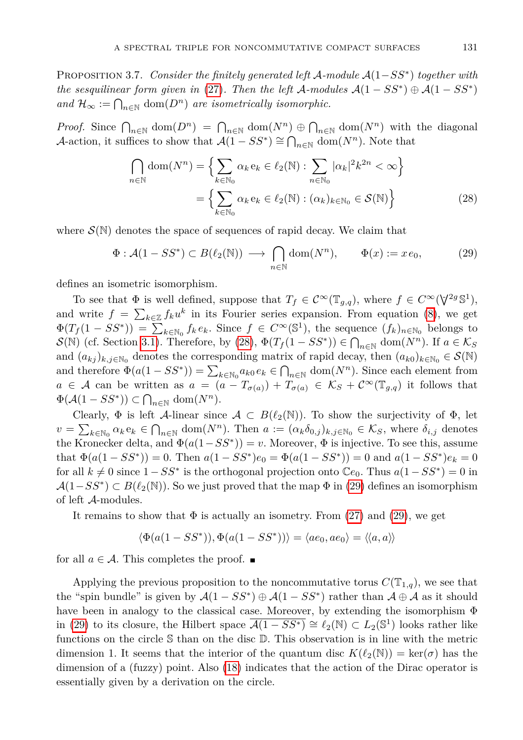Proposition 3.7. *Consider the finitely generated left* A*-module* A(1−*SS*<sup>∗</sup> ) *together with the sesquilinear form given in* [\(27\)](#page-9-2)*. Then the left* A-modules  $A(1 - SS^*) \oplus A(1 - SS^*)$ *and*  $\mathcal{H}_{\infty} := \bigcap_{n \in \mathbb{N}} \text{dom}(D^n)$  *are isometrically isomorphic.* 

*Proof.* Since  $\bigcap_{n\in\mathbb{N}}$  dom $(D^n) = \bigcap_{n\in\mathbb{N}}$  dom $(N^n) \oplus \bigcap_{n\in\mathbb{N}}$  dom $(N^n)$  with the diagonal A-action, it suffices to show that  $\mathcal{A}(1 - SS^*) \cong \bigcap_{n \in \mathbb{N}} \text{dom}(N^n)$ . Note that

<span id="page-10-1"></span><span id="page-10-0"></span>
$$
\bigcap_{n \in \mathbb{N}} \text{dom}(N^n) = \left\{ \sum_{k \in \mathbb{N}_0} \alpha_k e_k \in \ell_2(\mathbb{N}) : \sum_{n \in \mathbb{N}_0} |\alpha_k|^2 k^{2n} < \infty \right\}
$$
\n
$$
= \left\{ \sum_{k \in \mathbb{N}_0} \alpha_k e_k \in \ell_2(\mathbb{N}) : (\alpha_k)_{k \in \mathbb{N}_0} \in \mathcal{S}(\mathbb{N}) \right\} \tag{28}
$$

where  $\mathcal{S}(\mathbb{N})$  denotes the space of sequences of rapid decay. We claim that

$$
\Phi: \mathcal{A}(1 - SS^*) \subset B(\ell_2(\mathbb{N})) \longrightarrow \bigcap_{n \in \mathbb{N}} \text{dom}(N^n), \qquad \Phi(x) := xe_0,\tag{29}
$$

defines an isometric isomorphism.

To see that  $\Phi$  is well defined, suppose that  $T_f \in C^{\infty}(\mathbb{T}_{g,q})$ , where  $f \in C^{\infty}(\mathsf{V}^{2g} \mathbb{S}^1)$ , and write  $f = \sum_{k \in \mathbb{Z}} f_k u^k$  in its Fourier series expansion. From equation [\(8\)](#page-4-1), we get  $\Phi(T_f(1 - SS^*)) = \sum_{k \in \mathbb{N}_0} f_k e_k$ . Since  $f \in C^\infty(\mathbb{S}^1)$ , the sequence  $(f_k)_{n \in \mathbb{N}_0}$  belongs to  $\mathcal{S}(\mathbb{N})$  (cf. Section [3.1\)](#page-3-1). Therefore, by [\(28\)](#page-10-0),  $\Phi(T_f(1 - SS^*)) \in \bigcap_{n \in \mathbb{N}} \text{dom}(N^n)$ . If  $a \in \mathcal{K}_S$ and  $(a_{kj})_{k,j\in\mathbb{N}_0}$  denotes the corresponding matrix of rapid decay, then  $(a_{k0})_{k\in\mathbb{N}_0} \in \mathcal{S}(\mathbb{N})$ and therefore  $\Phi(a(1 - SS^*)) = \sum_{k \in \mathbb{N}_0} a_{k0} e_k \in \bigcap_{n \in \mathbb{N}} \text{dom}(N^n)$ . Since each element from  $a \in \mathcal{A}$  can be written as  $a = (a - T_{\sigma(a)}) + T_{\sigma(a)} \in \mathcal{K}_{S} + C^{\infty}(\mathbb{T}_{g,q})$  it follows that  $\Phi(\mathcal{A}(1 - SS^*)) \subset \bigcap_{n \in \mathbb{N}} \text{dom}(N^n).$ 

Clearly,  $\Phi$  is left A-linear since  $\mathcal{A} \subset B(\ell_2(\mathbb{N}))$ . To show the surjectivity of  $\Phi$ , let  $v = \sum_{k \in \mathbb{N}_0} \alpha_k e_k \in \bigcap_{n \in \mathbb{N}} \text{dom}(N^n)$ . Then  $a := (\alpha_k \delta_{0,j})_{k,j \in \mathbb{N}_0} \in \mathcal{K}_S$ , where  $\delta_{i,j}$  denotes the Kronecker delta, and  $\Phi(a(1 - SS^*)) = v$ . Moreover,  $\Phi$  is injective. To see this, assume that  $\Phi(a(1 - SS^*)) = 0$ . Then  $a(1 - SS^*)e_0 = \Phi(a(1 - SS^*)) = 0$  and  $a(1 - SS^*)e_k = 0$ for all  $k \neq 0$  since  $1 - SS^*$  is the orthogonal projection onto  $\mathbb{C}e_0$ . Thus  $a(1 - SS^*) = 0$  in  $\mathcal{A}(1 - SS^*) \subset B(\ell_2(\mathbb{N}))$ . So we just proved that the map  $\Phi$  in [\(29\)](#page-10-1) defines an isomorphism of left A-modules.

It remains to show that  $\Phi$  is actually an isometry. From [\(27\)](#page-9-2) and [\(29\)](#page-10-1), we get

$$
\langle \Phi(a(1-SS^*)), \Phi(a(1-SS^*)) \rangle = \langle ae_0, ae_0 \rangle = \langle \langle a, a \rangle \rangle
$$

for all  $a \in \mathcal{A}$ . This completes the proof.  $\blacksquare$ 

Applying the previous proposition to the noncommutative torus  $C(\mathbb{T}_{1,q})$ , we see that the "spin bundle" is given by  $\mathcal{A}(1 - SS^*) \oplus \mathcal{A}(1 - SS^*)$  rather than  $\mathcal{A} \oplus \mathcal{A}$  as it should have been in analogy to the classical case. Moreover, by extending the isomorphism Φ in [\(29\)](#page-10-1) to its closure, the Hilbert space  $\overline{\mathcal{A}(1 - SS^*)} \cong \ell_2(\mathbb{N}) \subset L_2(\mathbb{S}^1)$  looks rather like functions on the circle S than on the disc D. This observation is in line with the metric dimension 1. It seems that the interior of the quantum disc  $K(\ell_2(\mathbb{N})) = \text{ker}(\sigma)$  has the dimension of a (fuzzy) point. Also [\(18\)](#page-6-2) indicates that the action of the Dirac operator is essentially given by a derivation on the circle.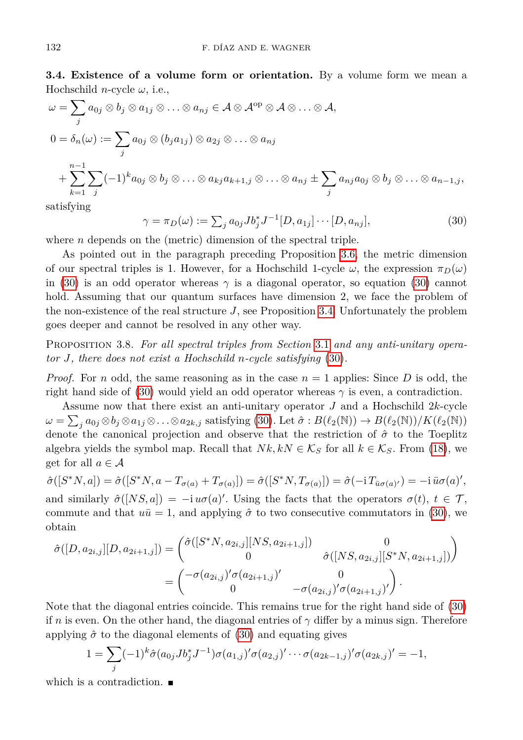**3.4. Existence of a volume form or orientation.** By a volume form we mean a Hochschild *n*-cycle *ω*, i.e.,

$$
\omega = \sum_{j} a_{0j} \otimes b_j \otimes a_{1j} \otimes \ldots \otimes a_{nj} \in \mathcal{A} \otimes \mathcal{A}^{\mathrm{op}} \otimes \mathcal{A} \otimes \ldots \otimes \mathcal{A},
$$
  
\n
$$
0 = \delta_n(\omega) := \sum_j a_{0j} \otimes (b_j a_{1j}) \otimes a_{2j} \otimes \ldots \otimes a_{nj}
$$
  
\n
$$
+ \sum_{k=1}^{n-1} \sum_j (-1)^k a_{0j} \otimes b_j \otimes \ldots \otimes a_{kj} a_{k+1,j} \otimes \ldots \otimes a_{nj} \pm \sum_j a_{nj} a_{0j} \otimes b_j \otimes \ldots \otimes a_{n-1,j},
$$

<span id="page-11-0"></span>satisfying

$$
\gamma = \pi_D(\omega) := \sum_j a_{0j} J b_j^* J^{-1} [D, a_{1j}] \cdots [D, a_{nj}], \qquad (30)
$$

where *n* depends on the (metric) dimension of the spectral triple.

As pointed out in the paragraph preceding Proposition [3.6,](#page-8-4) the metric dimension of our spectral triples is 1. However, for a Hochschild 1-cycle  $\omega$ , the expression  $\pi_D(\omega)$ in [\(30\)](#page-11-0) is an odd operator whereas  $\gamma$  is a diagonal operator, so equation (30) cannot hold. Assuming that our quantum surfaces have dimension 2, we face the problem of the non-existence of the real structure *J*, see Proposition [3.4.](#page-8-3) Unfortunately the problem goes deeper and cannot be resolved in any other way.

<span id="page-11-1"></span>Proposition 3.8. *For all spectral triples from Section* [3.1](#page-3-1) *and any anti-unitary operator J, there does not exist a Hochschild n-cycle satisfying* [\(30\)](#page-11-0)*.*

*Proof.* For *n* odd, the same reasoning as in the case  $n = 1$  applies: Since D is odd, the right hand side of [\(30\)](#page-11-0) would yield an odd operator whereas  $\gamma$  is even, a contradiction.

Assume now that there exist an anti-unitary operator *J* and a Hochschild 2*k*-cycle  $\omega = \sum_j a_{0j} \otimes b_j \otimes a_{1j} \otimes \ldots \otimes a_{2k,j}$  satisfying [\(30\)](#page-11-0). Let  $\hat{\sigma} : B(\ell_2(\mathbb{N})) \to B(\ell_2(\mathbb{N}))/K(\ell_2(\mathbb{N}))$ denote the canonical projection and observe that the restriction of *σ*ˆ to the Toeplitz algebra yields the symbol map. Recall that  $Nk, kN \in \mathcal{K}_S$  for all  $k \in \mathcal{K}_S$ . From [\(18\)](#page-6-2), we get for all  $a \in \mathcal{A}$ 

$$
\hat{\sigma}([S^*N, a]) = \hat{\sigma}([S^*N, a - T_{\sigma(a)} + T_{\sigma(a)}]) = \hat{\sigma}([S^*N, T_{\sigma(a)}]) = \hat{\sigma}(-i T_{\bar{u}\sigma(a)'}) = -i \bar{u}\sigma(a)',
$$
 and similarly  $\hat{\sigma}([NS, a]) = -i u\sigma(a)'$ . Using the facts that the operators  $\sigma(t), t \in \mathcal{T}$ , commute and that  $u\bar{u} = 1$ , and applying  $\hat{\sigma}$  to two consecutive commutators in (30), we obtain

$$
\hat{\sigma}([D, a_{2i,j}][D, a_{2i+1,j}]) = \begin{pmatrix} \hat{\sigma}([S^*N, a_{2i,j}][NS, a_{2i+1,j}]) & 0 \\ 0 & \hat{\sigma}([NS, a_{2i,j}][S^*N, a_{2i+1,j}]) \end{pmatrix}
$$
  
= 
$$
\begin{pmatrix} -\sigma(a_{2i,j})'\sigma(a_{2i+1,j})' & 0 \\ 0 & -\sigma(a_{2i,j})'\sigma(a_{2i+1,j})' \end{pmatrix}.
$$

Note that the diagonal entries coincide. This remains true for the right hand side of [\(30\)](#page-11-0) if *n* is even. On the other hand, the diagonal entries of  $\gamma$  differ by a minus sign. Therefore applying  $\hat{\sigma}$  to the diagonal elements of [\(30\)](#page-11-0) and equating gives

$$
1 = \sum_{j} (-1)^{k} \hat{\sigma}(a_{0j} J b_{j}^{*} J^{-1}) \sigma(a_{1,j})' \sigma(a_{2,j})' \cdots \sigma(a_{2k-1,j})' \sigma(a_{2k,j})' = -1,
$$

which is a contradiction.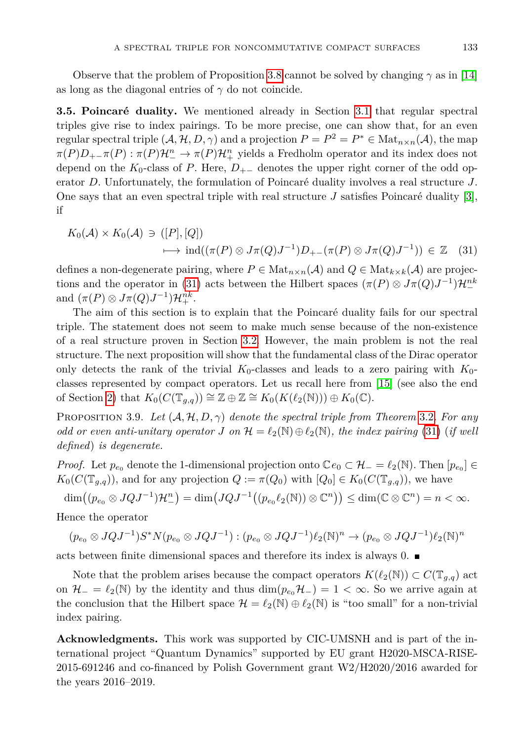Observe that the problem of Proposition [3.8](#page-11-1) cannot be solved by changing  $\gamma$  as in [\[14\]](#page-13-4) as long as the diagonal entries of  $\gamma$  do not coincide.

**3.5. Poincaré duality.** We mentioned already in Section [3.1](#page-3-1) that regular spectral triples give rise to index pairings. To be more precise, one can show that, for an even regular spectral triple  $(A, H, D, \gamma)$  and a projection  $P = P^2 = P^* \in Mat_{n \times n}(\mathcal{A})$ , the map  $\pi(P)D_{+-}\pi(P):\pi(P)\mathcal{H}^n_-\to \pi(P)\mathcal{H}^n_+$  yields a Fredholm operator and its index does not depend on the  $K_0$ -class of *P*. Here,  $D_{+-}$  denotes the upper right corner of the odd operator *D*. Unfortunately, the formulation of Poincaré duality involves a real structure *J*. One says that an even spectral triple with real structure *J* satisfies Poincaré duality [\[3\]](#page-13-14), if

<span id="page-12-0"></span>
$$
K_0(\mathcal{A}) \times K_0(\mathcal{A}) \ni ([P], [Q])
$$
  

$$
\longmapsto \text{ind}((\pi(P) \otimes J\pi(Q)J^{-1})D_{+-}(\pi(P) \otimes J\pi(Q)J^{-1})) \in \mathbb{Z}
$$
 (31)

defines a non-degenerate pairing, where  $P \in \text{Mat}_{n \times n}(\mathcal{A})$  and  $Q \in \text{Mat}_{k \times k}(\mathcal{A})$  are projec-tions and the operator in [\(31\)](#page-12-0) acts between the Hilbert spaces  $(\pi(P) \otimes J\pi(Q)J^{-1})\mathcal{H}^{nk}_{-}$ and  $(\pi(P) \otimes J\pi(Q)J^{-1})\mathcal{H}_+^{nk}$ .

The aim of this section is to explain that the Poincaré duality fails for our spectral triple. The statement does not seem to make much sense because of the non-existence of a real structure proven in Section [3.2.](#page-7-2) However, the main problem is not the real structure. The next proposition will show that the fundamental class of the Dirac operator only detects the rank of the trivial  $K_0$ -classes and leads to a zero pairing with  $K_0$ classes represented by compact operators. Let us recall here from [\[15\]](#page-13-7) (see also the end of Section [2\)](#page-1-1) that  $K_0(C(\mathbb{T}_{q,q})) \cong \mathbb{Z} \oplus \mathbb{Z} \cong K_0(K(\ell_2(\mathbb{N}))) \oplus K_0(\mathbb{C}).$ 

PROPOSITION 3.9. Let  $(A, H, D, \gamma)$  denote the spectral triple from Theorem [3.2](#page-5-3). For any *odd or even anti-unitary operator J on*  $\mathcal{H} = \ell_2(\mathbb{N}) \oplus \ell_2(\mathbb{N})$ *, the index pairing* [\(31\)](#page-12-0) (*if well defined*) *is degenerate.*

*Proof.* Let  $p_{e_0}$  denote the 1-dimensional projection onto  $\mathbb{C}e_0 \subset \mathcal{H}_- = \ell_2(\mathbb{N})$ . Then  $[p_{e_0}] \in$  $K_0(C(\mathbb{T}_{g,q}))$ , and for any projection  $Q := \pi(Q_0)$  with  $[Q_0] \in K_0(C(\mathbb{T}_{g,q}))$ , we have

 $\dim((p_{e_0} \otimes JQJ^{-1})\mathcal{H}^n_{-}) = \dim(JQJ^{-1}((p_{e_0}\ell_2(\mathbb{N})) \otimes \mathbb{C}^n)) \leq \dim(\mathbb{C} \otimes \mathbb{C}^n) = n < \infty.$ 

Hence the operator

$$
(p_{e_0} \otimes JQJ^{-1})S^*N(p_{e_0} \otimes JQJ^{-1}): (p_{e_0} \otimes JQJ^{-1})\ell_2(\mathbb{N})^n \to (p_{e_0} \otimes JQJ^{-1})\ell_2(\mathbb{N})^n
$$

acts between finite dimensional spaces and therefore its index is always 0.

Note that the problem arises because the compact operators  $K(\ell_2(\mathbb{N})) \subset C(\mathbb{T}_{q,q})$  act on  $\mathcal{H}_- = \ell_2(N)$  by the identity and thus  $\dim(p_{e_0}\mathcal{H}_-) = 1 < \infty$ . So we arrive again at the conclusion that the Hilbert space  $\mathcal{H} = \ell_2(\mathbb{N}) \oplus \ell_2(\mathbb{N})$  is "too small" for a non-trivial index pairing.

**Acknowledgments.** This work was supported by CIC-UMSNH and is part of the international project "Quantum Dynamics" supported by EU grant H2020-MSCA-RISE-2015-691246 and co-financed by Polish Government grant W2/H2020/2016 awarded for the years 2016–2019.